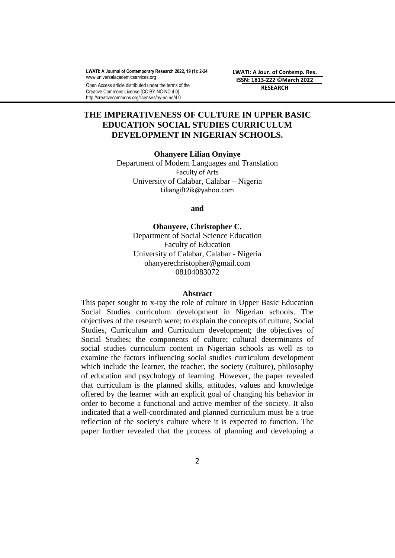**LWATI: A Journal of Contemporary Research 2022, 19 (1): 2-24** [www.universalacademicservices.org](http://www.universalacademicservices.org/)

Open Access article distributed under the terms of the Creative Commons License [CC BY-NC-ND 4.0] http://creativecommons.org/licenses/by-nc-nd/4.0

**LWATI: A Jour. of Contemp. Res. ISSN: 1813-222 ©March 2022 RESEARCH**

# **THE IMPERATIVENESS OF CULTURE IN UPPER BASIC EDUCATION SOCIAL STUDIES CURRICULUM DEVELOPMENT IN NIGERIAN SCHOOLS.**

**Ohanyere Lilian Onyinye**

Department of Modern Languages and Translation Faculty of Arts University of Calabar, Calabar – Nigeria Liliangift2ik@yahoo.com

**and**

**Ohanyere, Christopher C.** Department of Social Science Education Faculty of Education University of Calabar, Calabar - Nigeria ohanyerechristopher@gmail.com 08104083072

### **Abstract**

This paper sought to x-ray the role of culture in Upper Basic Education Social Studies curriculum development in Nigerian schools. The objectives of the research were; to explain the concepts of culture, Social Studies, Curriculum and Curriculum development; the objectives of Social Studies; the components of culture; cultural determinants of social studies curriculum content in Nigerian schools as well as to examine the factors influencing social studies curriculum development which include the learner, the teacher, the society (culture), philosophy of education and psychology of learning. However, the paper revealed that curriculum is the planned skills, attitudes, values and knowledge offered by the learner with an explicit goal of changing his behavior in order to become a functional and active member of the society. It also indicated that a well-coordinated and planned curriculum must be a true reflection of the society's culture where it is expected to function. The paper further revealed that the process of planning and developing a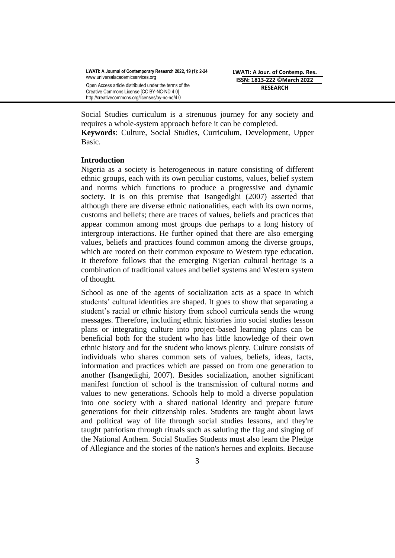Social Studies curriculum is a strenuous journey for any society and requires a whole-system approach before it can be completed.

**Keywords**: Culture, Social Studies, Curriculum, Development, Upper Basic.

### **Introduction**

Nigeria as a society is heterogeneous in nature consisting of different ethnic groups, each with its own peculiar customs, values, belief system and norms which functions to produce a progressive and dynamic society. It is on this premise that Isangedighi (2007) asserted that although there are diverse ethnic nationalities, each with its own norms, customs and beliefs; there are traces of values, beliefs and practices that appear common among most groups due perhaps to a long history of intergroup interactions. He further opined that there are also emerging values, beliefs and practices found common among the diverse groups, which are rooted on their common exposure to Western type education. It therefore follows that the emerging Nigerian cultural heritage is a combination of traditional values and belief systems and Western system of thought.

School as one of the agents of socialization acts as a space in which students' cultural identities are shaped. It goes to show that separating a student's racial or ethnic history from school curricula sends the wrong messages. Therefore, including ethnic histories into social studies lesson plans or integrating culture into project-based learning plans can be beneficial both for the student who has little knowledge of their own ethnic history and for the student who knows plenty. Culture consists of individuals who shares common sets of values, beliefs, ideas, facts, information and practices which are passed on from one generation to another (Isangedighi, 2007). Besides socialization, another significant manifest function of school is the transmission of cultural norms and values to new generations. Schools help to mold a diverse population into one society with a shared national identity and prepare future generations for their citizenship roles. Students are taught about laws and political way of life through social studies lessons, and they're taught patriotism through rituals such as saluting the flag and singing of the National Anthem. Social Studies Students must also learn the Pledge of Allegiance and the stories of the nation's heroes and exploits. Because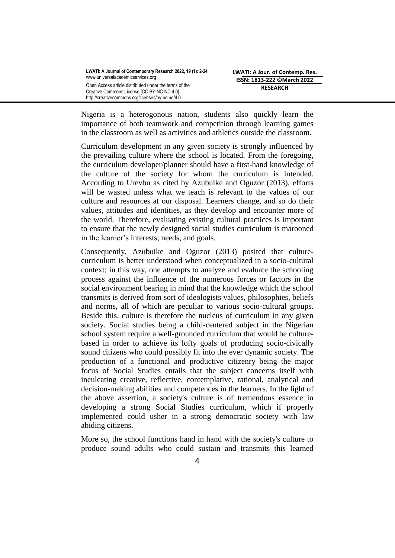Nigeria is a heterogonous nation, students also quickly learn the importance of both teamwork and competition through learning games in the classroom as well as activities and athletics outside the classroom.

Curriculum development in any given society is strongly influenced by the prevailing culture where the school is located. From the foregoing, the curriculum developer/planner should have a first-hand knowledge of the culture of the society for whom the curriculum is intended. According to Urevbu as cited by Azubuike and Oguzor (2013), efforts will be wasted unless what we teach is relevant to the values of our culture and resources at our disposal. Learners change, and so do their values, attitudes and identities, as they develop and encounter more of the world. Therefore, evaluating existing cultural practices is important to ensure that the newly designed social studies curriculum is marooned in the learner's interests, needs, and goals.

Consequently, Azubuike and Oguzor (2013) posited that culturecurriculum is better understood when conceptualized in a socio-cultural context; in this way, one attempts to analyze and evaluate the schooling process against the influence of the numerous forces or factors in the social environment bearing in mind that the knowledge which the school transmits is derived from sort of ideologists values, philosophies, beliefs and norms, all of which are peculiar to various socio-cultural groups. Beside this, culture is therefore the nucleus of curriculum in any given society. Social studies being a child-centered subject in the Nigerian school system require a well-grounded curriculum that would be culturebased in order to achieve its lofty goals of producing socio-civically sound citizens who could possibly fit into the ever dynamic society. The production of a functional and productive citizenry being the major focus of Social Studies entails that the subject concerns itself with inculcating creative, reflective, contemplative, rational, analytical and decision-making abilities and competences in the learners. In the light of the above assertion, a society's culture is of tremendous essence in developing a strong Social Studies curriculum, which if properly implemented could usher in a strong democratic society with law abiding citizens.

More so, the school functions hand in hand with the society's culture to produce sound adults who could sustain and transmits this learned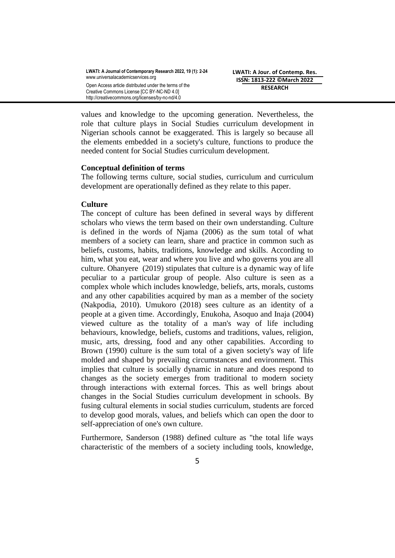values and knowledge to the upcoming generation. Nevertheless, the role that culture plays in Social Studies curriculum development in Nigerian schools cannot be exaggerated. This is largely so because all the elements embedded in a society's culture, functions to produce the needed content for Social Studies curriculum development.

### **Conceptual definition of terms**

The following terms culture, social studies, curriculum and curriculum development are operationally defined as they relate to this paper.

## **Culture**

The concept of culture has been defined in several ways by different scholars who views the term based on their own understanding. Culture is defined in the words of Njama (2006) as the sum total of what members of a society can learn, share and practice in common such as beliefs, customs, habits, traditions, knowledge and skills. According to him, what you eat, wear and where you live and who governs you are all culture. Ohanyere (2019) stipulates that culture is a dynamic way of life peculiar to a particular group of people. Also culture is seen as a complex whole which includes knowledge, beliefs, arts, morals, customs and any other capabilities acquired by man as a member of the society (Nakpodia, 2010). Umukoro (2018) sees culture as an identity of a people at a given time. Accordingly, Enukoha, Asoquo and Inaja (2004) viewed culture as the totality of a man's way of life including behaviours, knowledge, beliefs, customs and traditions, values, religion, music, arts, dressing, food and any other capabilities. According to Brown (1990) culture is the sum total of a given society's way of life molded and shaped by prevailing circumstances and environment. This implies that culture is socially dynamic in nature and does respond to changes as the society emerges from traditional to modern society through interactions with external forces. This as well brings about changes in the Social Studies curriculum development in schools. By fusing cultural elements in social studies curriculum, students are forced to develop good morals, values, and beliefs which can open the door to self-appreciation of one's own culture.

Furthermore, Sanderson (1988) defined culture as "the total life ways characteristic of the members of a society including tools, knowledge,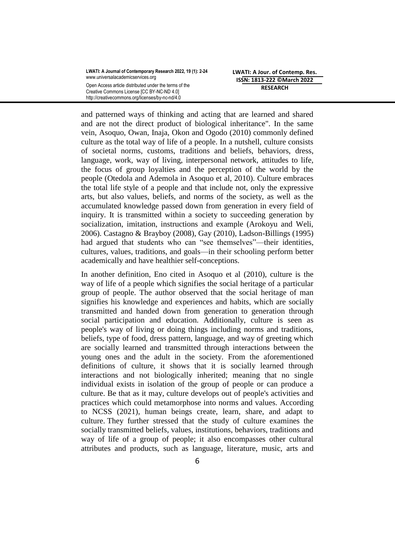**LWATI: A Jour. of Contemp. Res. ISSN: 1813-222 ©March 2022 RESEARCH**

and patterned ways of thinking and acting that are learned and shared and are not the direct product of biological inheritance". In the same vein, Asoquo, Owan, Inaja, Okon and Ogodo (2010) commonly defined culture as the total way of life of a people. In a nutshell, culture consists of societal norms, customs, traditions and beliefs, behaviors, dress, language, work, way of living, interpersonal network, attitudes to life, the focus of group loyalties and the perception of the world by the people (Otedola and Ademola in Asoquo et al, 2010). Culture embraces the total life style of a people and that include not, only the expressive arts, but also values, beliefs, and norms of the society, as well as the accumulated knowledge passed down from generation in every field of inquiry. It is transmitted within a society to succeeding generation by socialization, imitation, instructions and example (Arokoyu and Weli, 2006). Castagno & Brayboy (2008), Gay (2010), Ladson-Billings (1995) had argued that students who can "see themselves"—their identities, cultures, values, traditions, and goals—in their schooling perform better academically and have healthier self-conceptions.

In another definition, Eno cited in Asoquo et al (2010), culture is the way of life of a people which signifies the social heritage of a particular group of people. The author observed that the social heritage of man signifies his knowledge and experiences and habits, which are socially transmitted and handed down from generation to generation through social participation and education. Additionally, culture is seen as people's way of living or doing things including norms and traditions, beliefs, type of food, dress pattern, language, and way of greeting which are socially learned and transmitted through interactions between the young ones and the adult in the society. From the aforementioned definitions of culture, it shows that it is socially learned through interactions and not biologically inherited; meaning that no single individual exists in isolation of the group of people or can produce a culture. Be that as it may, culture develops out of people's activities and practices which could metamorphose into norms and values. According to NCSS (2021), human beings create, learn, share, and adapt to culture. They further stressed that the study of culture examines the socially transmitted beliefs, values, institutions, behaviors, traditions and way of life of a group of people; it also encompasses other cultural attributes and products, such as language, literature, music, arts and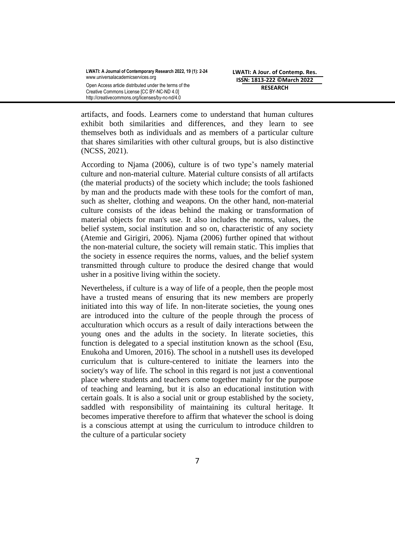artifacts, and foods. Learners come to understand that human cultures exhibit both similarities and differences, and they learn to see themselves both as individuals and as members of a particular culture that shares similarities with other cultural groups, but is also distinctive (NCSS, 2021).

According to Njama (2006), culture is of two type's namely material culture and non-material culture. Material culture consists of all artifacts (the material products) of the society which include; the tools fashioned by man and the products made with these tools for the comfort of man, such as shelter, clothing and weapons. On the other hand, non-material culture consists of the ideas behind the making or transformation of material objects for man's use. It also includes the norms, values, the belief system, social institution and so on, characteristic of any society (Atemie and Girigiri, 2006). Njama (2006) further opined that without the non-material culture, the society will remain static. This implies that the society in essence requires the norms, values, and the belief system transmitted through culture to produce the desired change that would usher in a positive living within the society.

Nevertheless, if culture is a way of life of a people, then the people most have a trusted means of ensuring that its new members are properly initiated into this way of life. In non-literate societies, the young ones are introduced into the culture of the people through the process of acculturation which occurs as a result of daily interactions between the young ones and the adults in the society. In literate societies, this function is delegated to a special institution known as the school (Esu, Enukoha and Umoren, 2016). The school in a nutshell uses its developed curriculum that is culture-centered to initiate the learners into the society's way of life. The school in this regard is not just a conventional place where students and teachers come together mainly for the purpose of teaching and learning, but it is also an educational institution with certain goals. It is also a social unit or group established by the society, saddled with responsibility of maintaining its cultural heritage. It becomes imperative therefore to affirm that whatever the school is doing is a conscious attempt at using the curriculum to introduce children to the culture of a particular society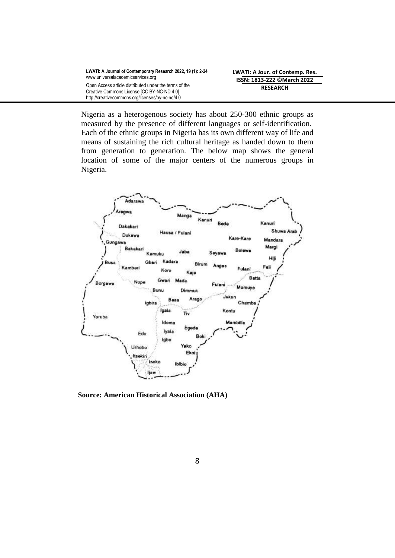| LWATI: A Journal of Contemporary Research 2022, 19 (1): 2-24 |
|--------------------------------------------------------------|
| www.universalacademicservices.org                            |
| Open Access article distributed under the terms of the       |
| Creative Commons License [CC BY-NC-ND 4.0]                   |
| http://creativecommons.org/licenses/by-nc-nd/4.0             |

Nigeria as a heterogenous society has about 250-300 ethnic groups as measured by the presence of different languages or self-identification. Each of the ethnic groups in Nigeria has its own different way of life and means of sustaining the rich cultural heritage as handed down to them from generation to generation. The below map shows the general location of some of the major centers of the numerous groups in Nigeria.



**Source: American Historical Association (AHA)**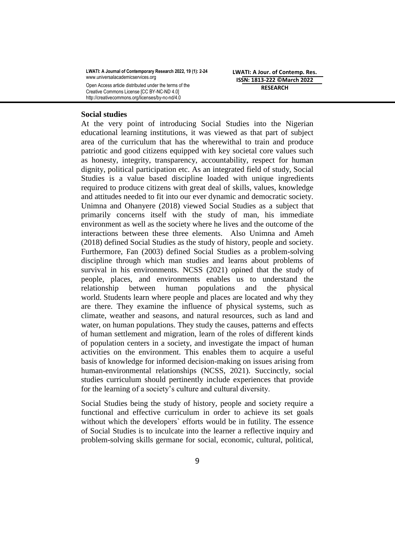**LWATI: A Jour. of Contemp. Res. ISSN: 1813-222 ©March 2022 RESEARCH**

#### **Social studies**

At the very point of introducing Social Studies into the Nigerian educational learning institutions, it was viewed as that part of subject area of the curriculum that has the wherewithal to train and produce patriotic and good citizens equipped with key societal core values such as honesty, integrity, transparency, accountability, respect for human dignity, political participation etc. As an integrated field of study, Social Studies is a value based discipline loaded with unique ingredients required to produce citizens with great deal of skills, values, knowledge and attitudes needed to fit into our ever dynamic and democratic society. Unimna and Ohanyere (2018) viewed Social Studies as a subject that primarily concerns itself with the study of man, his immediate environment as well as the society where he lives and the outcome of the interactions between these three elements. Also Unimna and Ameh (2018) defined Social Studies as the study of history, people and society. Furthermore, Fan (2003) defined Social Studies as a problem-solving discipline through which man studies and learns about problems of survival in his environments. NCSS (2021) opined that the study of people, places, and environments enables us to understand the relationship between human populations and the physical world. Students learn where people and places are located and why they are there. They examine the influence of physical systems, such as climate, weather and seasons, and natural resources, such as land and water, on human populations. They study the causes, patterns and effects of human settlement and migration, learn of the roles of different kinds of population centers in a society, and investigate the impact of human activities on the environment. This enables them to acquire a useful basis of knowledge for informed decision-making on issues arising from human-environmental relationships (NCSS, 2021). Succinctly, social studies curriculum should pertinently include experiences that provide for the learning of a society's culture and cultural diversity.

Social Studies being the study of history, people and society require a functional and effective curriculum in order to achieve its set goals without which the developers` efforts would be in futility. The essence of Social Studies is to inculcate into the learner a reflective inquiry and problem-solving skills germane for social, economic, cultural, political,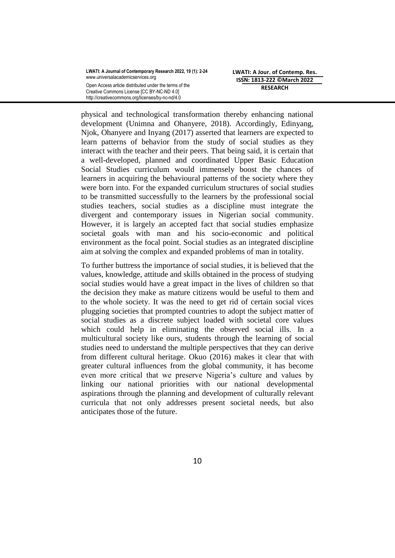**LWATI: A Jour. of Contemp. Res. ISSN: 1813-222 ©March 2022 RESEARCH**

physical and technological transformation thereby enhancing national development (Unimna and Ohanyere, 2018). Accordingly, Edinyang, Njok, Ohanyere and Inyang (2017) asserted that learners are expected to learn patterns of behavior from the study of social studies as they interact with the teacher and their peers. That being said, it is certain that a well-developed, planned and coordinated Upper Basic Education Social Studies curriculum would immensely boost the chances of learners in acquiring the behavioural patterns of the society where they were born into. For the expanded curriculum structures of social studies to be transmitted successfully to the learners by the professional social studies teachers, social studies as a discipline must integrate the divergent and contemporary issues in Nigerian social community. However, it is largely an accepted fact that social studies emphasize societal goals with man and his socio-economic and political environment as the focal point. Social studies as an integrated discipline aim at solving the complex and expanded problems of man in totality.

To further buttress the importance of social studies, it is believed that the values, knowledge, attitude and skills obtained in the process of studying social studies would have a great impact in the lives of children so that the decision they make as mature citizens would be useful to them and to the whole society. It was the need to get rid of certain social vices plugging societies that prompted countries to adopt the subject matter of social studies as a discrete subject loaded with societal core values which could help in eliminating the observed social ills. In a multicultural society like ours, students through the learning of social studies need to understand the multiple perspectives that they can derive from different cultural heritage. Okuo (2016) makes it clear that with greater cultural influences from the global community, it has become even more critical that we preserve Nigeria's culture and values by linking our national priorities with our national developmental aspirations through the planning and development of culturally relevant curricula that not only addresses present societal needs, but also anticipates those of the future.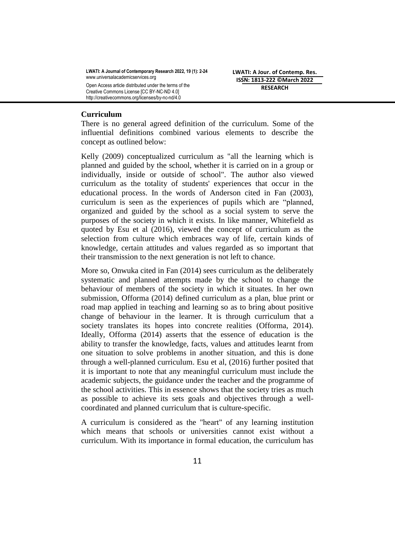**LWATI: A Jour. of Contemp. Res. ISSN: 1813-222 ©March 2022 RESEARCH**

#### **Curriculum**

There is no general agreed definition of the curriculum. Some of the influential definitions combined various elements to describe the concept as outlined below:

Kelly (2009) conceptualized curriculum as "all the learning which is planned and guided by the school, whether it is carried on in a group or individually, inside or outside of school". The author also viewed curriculum as the totality of students' experiences that occur in the educational process. In the words of Anderson cited in Fan (2003), curriculum is seen as the experiences of pupils which are "planned, organized and guided by the school as a social system to serve the purposes of the society in which it exists. In like manner, Whitefield as quoted by Esu et al (2016), viewed the concept of curriculum as the selection from culture which embraces way of life, certain kinds of knowledge, certain attitudes and values regarded as so important that their transmission to the next generation is not left to chance.

More so, Onwuka cited in Fan (2014) sees curriculum as the deliberately systematic and planned attempts made by the school to change the behaviour of members of the society in which it situates. In her own submission, Offorma (2014) defined curriculum as a plan, blue print or road map applied in teaching and learning so as to bring about positive change of behaviour in the learner. It is through curriculum that a society translates its hopes into concrete realities (Offorma, 2014). Ideally, Offorma (2014) asserts that the essence of education is the ability to transfer the knowledge, facts, values and attitudes learnt from one situation to solve problems in another situation, and this is done through a well-planned curriculum. Esu et al, (2016) further posited that it is important to note that any meaningful curriculum must include the academic subjects, the guidance under the teacher and the programme of the school activities. This in essence shows that the society tries as much as possible to achieve its sets goals and objectives through a wellcoordinated and planned curriculum that is culture-specific.

A curriculum is considered as the "heart" of any learning institution which means that schools or universities cannot exist without a curriculum. With its importance in formal education, the curriculum has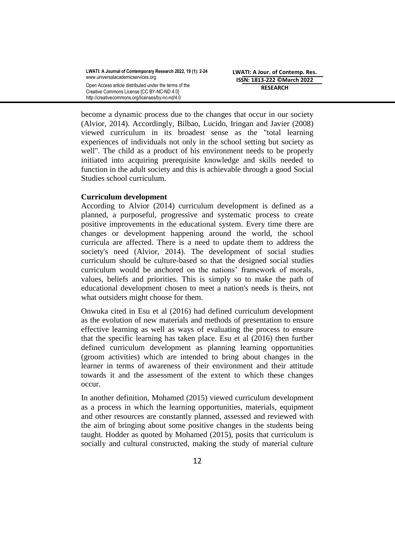become a dynamic process due to the changes that occur in our society (Alvior, 2014). Accordingly, Bilbao, Lucido, Iringan and Javier (2008) viewed curriculum in its broadest sense as the "total learning experiences of individuals not only in the school setting but society as well". The child as a product of his environment needs to be properly initiated into acquiring prerequisite knowledge and skills needed to function in the adult society and this is achievable through a good Social Studies school curriculum.

## **Curriculum development**

According to Alvior (2014) curriculum development is defined as a planned, a purposeful, progressive and systematic process to create positive improvements in the educational system. Every time there are changes or development happening around the world, the school curricula are affected. There is a need to update them to address the society's need (Alvior, 2014). The development of social studies curriculum should be culture-based so that the designed social studies curriculum would be anchored on the nations' framework of morals, values, beliefs and priorities. This is simply so to make the path of educational development chosen to meet a nation's needs is theirs, not what outsiders might choose for them.

Onwuka cited in Esu et al (2016) had defined curriculum development as the evolution of new materials and methods of presentation to ensure effective learning as well as ways of evaluating the process to ensure that the specific learning has taken place. Esu et al (2016) then further defined curriculum development as planning learning opportunities (groom activities) which are intended to bring about changes in the learner in terms of awareness of their environment and their attitude towards it and the assessment of the extent to which these changes occur.

In another definition, Mohamed (2015) viewed curriculum development as a process in which the learning opportunities, materials, equipment and other resources are constantly planned, assessed and reviewed with the aim of bringing about some positive changes in the students being taught. Hodder as quoted by Mohamed (2015), posits that curriculum is socially and cultural constructed, making the study of material culture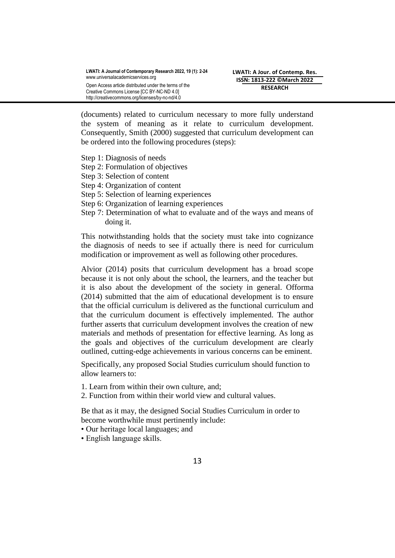(documents) related to curriculum necessary to more fully understand the system of meaning as it relate to curriculum development. Consequently, Smith (2000) suggested that curriculum development can be ordered into the following procedures (steps):

- Step 1: Diagnosis of needs
- Step 2: Formulation of objectives
- Step 3: Selection of content
- Step 4: Organization of content
- Step 5: Selection of learning experiences
- Step 6: Organization of learning experiences
- Step 7: Determination of what to evaluate and of the ways and means of doing it.

This notwithstanding holds that the society must take into cognizance the diagnosis of needs to see if actually there is need for curriculum modification or improvement as well as following other procedures.

Alvior (2014) posits that curriculum development has a broad scope because it is not only about the school, the learners, and the teacher but it is also about the development of the society in general. Offorma (2014) submitted that the aim of educational development is to ensure that the official curriculum is delivered as the functional curriculum and that the curriculum document is effectively implemented. The author further asserts that curriculum development involves the creation of new materials and methods of presentation for effective learning. As long as the goals and objectives of the curriculum development are clearly outlined, cutting-edge achievements in various concerns can be eminent.

Specifically, any proposed Social Studies curriculum should function to allow learners to:

- 1. Learn from within their own culture, and;
- 2. Function from within their world view and cultural values.

Be that as it may, the designed Social Studies Curriculum in order to become worthwhile must pertinently include:

- Our heritage local languages; and
- English language skills.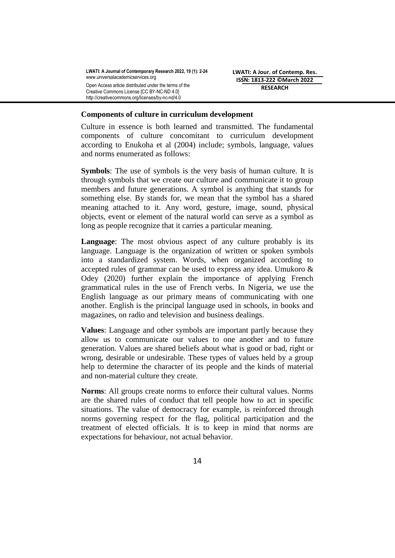## **Components of culture in curriculum development**

Culture in essence is both learned and transmitted. The fundamental components of culture concomitant to curriculum development according to Enukoha et al (2004) include; symbols, language, values and norms enumerated as follows:

**Symbols**: The use of symbols is the very basis of human culture. It is through symbols that we create our culture and communicate it to group members and future generations. A symbol is anything that stands for something else. By stands for, we mean that the symbol has a shared meaning attached to it. Any word, gesture, image, sound, physical objects, event or element of the natural world can serve as a symbol as long as people recognize that it carries a particular meaning.

**Language**: The most obvious aspect of any culture probably is its language. Language is the organization of written or spoken symbols into a standardized system. Words, when organized according to accepted rules of grammar can be used to express any idea. Umukoro & Odey (2020) further explain the importance of applying French grammatical rules in the use of French verbs. In Nigeria, we use the English language as our primary means of communicating with one another. English is the principal language used in schools, in books and magazines, on radio and television and business dealings.

**Values**: Language and other symbols are important partly because they allow us to communicate our values to one another and to future generation. Values are shared beliefs about what is good or bad, right or wrong, desirable or undesirable. These types of values held by a group help to determine the character of its people and the kinds of material and non-material culture they create.

**Norms**: All groups create norms to enforce their cultural values. Norms are the shared rules of conduct that tell people how to act in specific situations. The value of democracy for example, is reinforced through norms governing respect for the flag, political participation and the treatment of elected officials. It is to keep in mind that norms are expectations for behaviour, not actual behavior.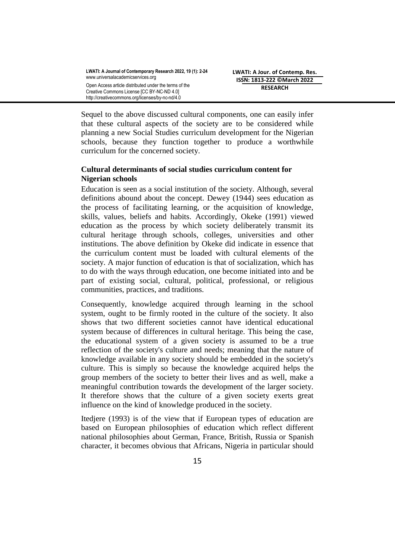Sequel to the above discussed cultural components, one can easily infer that these cultural aspects of the society are to be considered while planning a new Social Studies curriculum development for the Nigerian schools, because they function together to produce a worthwhile curriculum for the concerned society.

# **Cultural determinants of social studies curriculum content for Nigerian schools**

Education is seen as a social institution of the society. Although, several definitions abound about the concept. Dewey (1944) sees education as the process of facilitating learning, or the acquisition of knowledge, skills, values, beliefs and habits. Accordingly, Okeke (1991) viewed education as the process by which society deliberately transmit its cultural heritage through schools, colleges, universities and other institutions. The above definition by Okeke did indicate in essence that the curriculum content must be loaded with cultural elements of the society. A major function of education is that of socialization, which has to do with the ways through education, one become initiated into and be part of existing social, cultural, political, professional, or religious communities, practices, and traditions.

Consequently, knowledge acquired through learning in the school system, ought to be firmly rooted in the culture of the society. It also shows that two different societies cannot have identical educational system because of differences in cultural heritage. This being the case, the educational system of a given society is assumed to be a true reflection of the society's culture and needs; meaning that the nature of knowledge available in any society should be embedded in the society's culture. This is simply so because the knowledge acquired helps the group members of the society to better their lives and as well, make a meaningful contribution towards the development of the larger society. It therefore shows that the culture of a given society exerts great influence on the kind of knowledge produced in the society.

Itedjere (1993) is of the view that if European types of education are based on European philosophies of education which reflect different national philosophies about German, France, British, Russia or Spanish character, it becomes obvious that Africans, Nigeria in particular should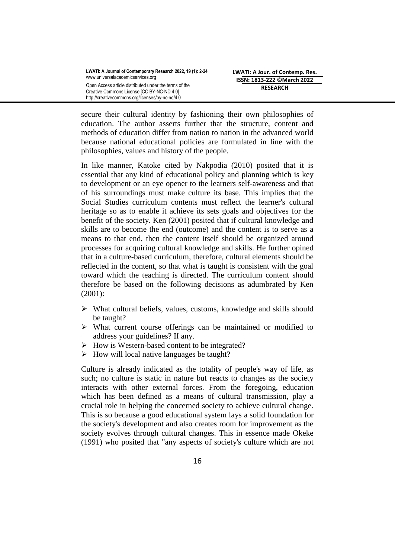secure their cultural identity by fashioning their own philosophies of education. The author asserts further that the structure, content and methods of education differ from nation to nation in the advanced world because national educational policies are formulated in line with the philosophies, values and history of the people.

In like manner, Katoke cited by Nakpodia (2010) posited that it is essential that any kind of educational policy and planning which is key to development or an eye opener to the learners self-awareness and that of his surroundings must make culture its base. This implies that the Social Studies curriculum contents must reflect the learner's cultural heritage so as to enable it achieve its sets goals and objectives for the benefit of the society. Ken (2001) posited that if cultural knowledge and skills are to become the end (outcome) and the content is to serve as a means to that end, then the content itself should be organized around processes for acquiring cultural knowledge and skills. He further opined that in a culture-based curriculum, therefore, cultural elements should be reflected in the content, so that what is taught is consistent with the goal toward which the teaching is directed. The curriculum content should therefore be based on the following decisions as adumbrated by Ken (2001):

- $\triangleright$  What cultural beliefs, values, customs, knowledge and skills should be taught?
- What current course offerings can be maintained or modified to address your guidelines? If any.
- $\triangleright$  How is Western-based content to be integrated?
- $\triangleright$  How will local native languages be taught?

Culture is already indicated as the totality of people's way of life, as such; no culture is static in nature but reacts to changes as the society interacts with other external forces. From the foregoing, education which has been defined as a means of cultural transmission, play a crucial role in helping the concerned society to achieve cultural change. This is so because a good educational system lays a solid foundation for the society's development and also creates room for improvement as the society evolves through cultural changes. This in essence made Okeke (1991) who posited that "any aspects of society's culture which are not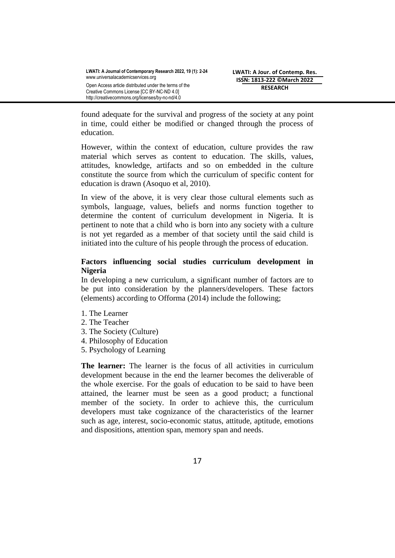found adequate for the survival and progress of the society at any point in time, could either be modified or changed through the process of education.

However, within the context of education, culture provides the raw material which serves as content to education. The skills, values, attitudes, knowledge, artifacts and so on embedded in the culture constitute the source from which the curriculum of specific content for education is drawn (Asoquo et al, 2010).

In view of the above, it is very clear those cultural elements such as symbols, language, values, beliefs and norms function together to determine the content of curriculum development in Nigeria. It is pertinent to note that a child who is born into any society with a culture is not yet regarded as a member of that society until the said child is initiated into the culture of his people through the process of education.

# **Factors influencing social studies curriculum development in Nigeria**

In developing a new curriculum, a significant number of factors are to be put into consideration by the planners/developers. These factors (elements) according to Offorma (2014) include the following;

- 1. The Learner
- 2. The Teacher
- 3. The Society (Culture)
- 4. Philosophy of Education
- 5. Psychology of Learning

**The learner:** The learner is the focus of all activities in curriculum development because in the end the learner becomes the deliverable of the whole exercise. For the goals of education to be said to have been attained, the learner must be seen as a good product; a functional member of the society. In order to achieve this, the curriculum developers must take cognizance of the characteristics of the learner such as age, interest, socio-economic status, attitude, aptitude, emotions and dispositions, attention span, memory span and needs.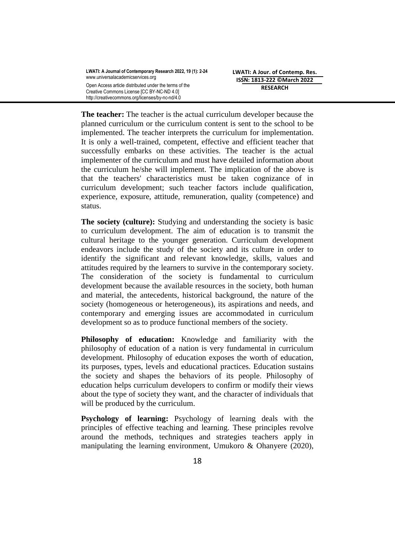**The teacher:** The teacher is the actual curriculum developer because the planned curriculum or the curriculum content is sent to the school to be implemented. The teacher interprets the curriculum for implementation. It is only a well-trained, competent, effective and efficient teacher that successfully embarks on these activities. The teacher is the actual implementer of the curriculum and must have detailed information about the curriculum he/she will implement. The implication of the above is that the teachers' characteristics must be taken cognizance of in curriculum development; such teacher factors include qualification, experience, exposure, attitude, remuneration, quality (competence) and status.

**The society (culture):** Studying and understanding the society is basic to curriculum development. The aim of education is to transmit the cultural heritage to the younger generation. Curriculum development endeavors include the study of the society and its culture in order to identify the significant and relevant knowledge, skills, values and attitudes required by the learners to survive in the contemporary society. The consideration of the society is fundamental to curriculum development because the available resources in the society, both human and material, the antecedents, historical background, the nature of the society (homogeneous or heterogeneous), its aspirations and needs, and contemporary and emerging issues are accommodated in curriculum development so as to produce functional members of the society.

**Philosophy of education:** Knowledge and familiarity with the philosophy of education of a nation is very fundamental in curriculum development. Philosophy of education exposes the worth of education, its purposes, types, levels and educational practices. Education sustains the society and shapes the behaviors of its people. Philosophy of education helps curriculum developers to confirm or modify their views about the type of society they want, and the character of individuals that will be produced by the curriculum.

**Psychology of learning:** Psychology of learning deals with the principles of effective teaching and learning. These principles revolve around the methods, techniques and strategies teachers apply in manipulating the learning environment, Umukoro & Ohanyere (2020),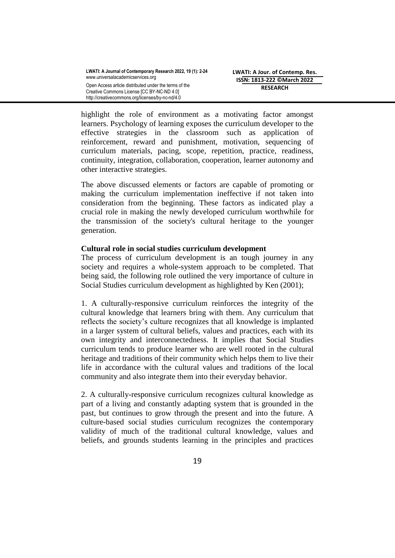highlight the role of environment as a motivating factor amongst learners. Psychology of learning exposes the curriculum developer to the effective strategies in the classroom such as application of reinforcement, reward and punishment, motivation, sequencing of curriculum materials, pacing, scope, repetition, practice, readiness, continuity, integration, collaboration, cooperation, learner autonomy and other interactive strategies.

The above discussed elements or factors are capable of promoting or making the curriculum implementation ineffective if not taken into consideration from the beginning. These factors as indicated play a crucial role in making the newly developed curriculum worthwhile for the transmission of the society's cultural heritage to the younger generation.

## **Cultural role in social studies curriculum development**

The process of curriculum development is an tough journey in any society and requires a whole-system approach to be completed. That being said, the following role outlined the very importance of culture in Social Studies curriculum development as highlighted by Ken (2001);

1. A culturally-responsive curriculum reinforces the integrity of the cultural knowledge that learners bring with them. Any curriculum that reflects the society's culture recognizes that all knowledge is implanted in a larger system of cultural beliefs, values and practices, each with its own integrity and interconnectedness. It implies that Social Studies curriculum tends to produce learner who are well rooted in the cultural heritage and traditions of their community which helps them to live their life in accordance with the cultural values and traditions of the local community and also integrate them into their everyday behavior.

2. A culturally-responsive curriculum recognizes cultural knowledge as part of a living and constantly adapting system that is grounded in the past, but continues to grow through the present and into the future. A culture-based social studies curriculum recognizes the contemporary validity of much of the traditional cultural knowledge, values and beliefs, and grounds students learning in the principles and practices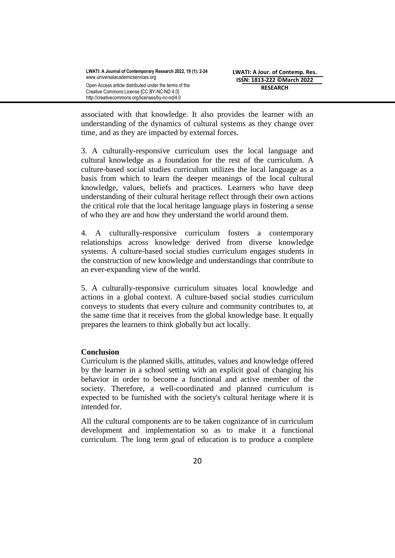associated with that knowledge. It also provides the learner with an understanding of the dynamics of cultural systems as they change over time, and as they are impacted by external forces.

3. A culturally-responsive curriculum uses the local language and cultural knowledge as a foundation for the rest of the curriculum. A culture-based social studies curriculum utilizes the local language as a basis from which to learn the deeper meanings of the local cultural knowledge, values, beliefs and practices. Learners who have deep understanding of their cultural heritage reflect through their own actions the critical role that the local heritage language plays in fostering a sense of who they are and how they understand the world around them.

4. A culturally-responsive curriculum fosters a contemporary relationships across knowledge derived from diverse knowledge systems. A culture-based social studies curriculum engages students in the construction of new knowledge and understandings that contribute to an ever-expanding view of the world.

5. A culturally-responsive curriculum situates local knowledge and actions in a global context. A culture-based social studies curriculum conveys to students that every culture and community contributes to, at the same time that it receives from the global knowledge base. It equally prepares the learners to think globally but act locally.

# **Conclusion**

Curriculum is the planned skills, attitudes, values and knowledge offered by the learner in a school setting with an explicit goal of changing his behavior in order to become a functional and active member of the society. Therefore, a well-coordinated and planned curriculum is expected to be furnished with the society's cultural heritage where it is intended for.

All the cultural components are to be taken cognizance of in curriculum development and implementation so as to make it a functional curriculum. The long term goal of education is to produce a complete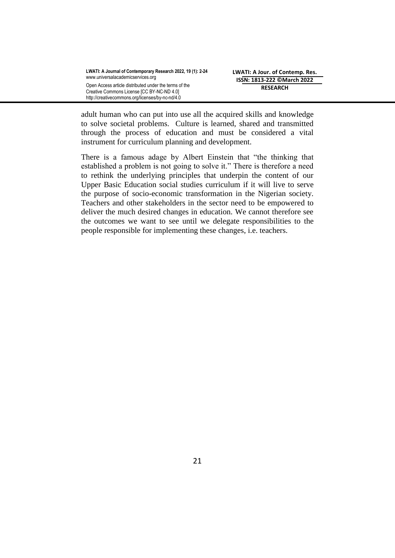adult human who can put into use all the acquired skills and knowledge to solve societal problems. Culture is learned, shared and transmitted through the process of education and must be considered a vital instrument for curriculum planning and development.

There is a famous adage by Albert Einstein that "the thinking that established a problem is not going to solve it." There is therefore a need to rethink the underlying principles that underpin the content of our Upper Basic Education social studies curriculum if it will live to serve the purpose of socio-economic transformation in the Nigerian society. Teachers and other stakeholders in the sector need to be empowered to deliver the much desired changes in education. We cannot therefore see the outcomes we want to see until we delegate responsibilities to the people responsible for implementing these changes, i.e. teachers.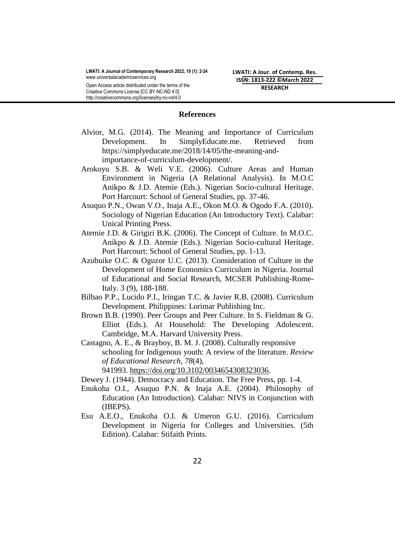**LWATI: A Journal of Contemporary Research 2022, 19 (1): 2-24** [www.universalacademicservices.org](http://www.universalacademicservices.org/) Open Access article distributed under the terms of the Creative Commons License [CC BY-NC-ND 4.0]

http://creativecommons.org/licenses/by-nc-nd/4.0

**LWATI: A Jour. of Contemp. Res. ISSN: 1813-222 ©March 2022 RESEARCH**

#### **References**

- Alvior, M.G. (2014). The Meaning and Importance of Curriculum Development. In SimplyEducate.me. Retrieved from https://simplyeducate.me/2018/14/05/the-meaning-andimportance-of-curriculum-development/.
- Arokoyu S.B. & Weli V.E. (2006). Culture Areas and Human Environment in Nigeria (A Relational Analysis). In M.O.C Anikpo & J.D. Atemie (Eds.). Nigerian Socio-cultural Heritage. Port Harcourt: School of General Studies, pp. 37-46.
- Asuquo P.N., Owan V.O., Inaja A.E., Okon M.O. & Ogodo F.A. (2010). Sociology of Nigerian Education (An Introductory Text). Calabar: Unical Printing Press.
- Atemie J.D. & Girigiri B.K. (2006). The Concept of Culture. In M.O.C. Anikpo & J.D. Atemie (Eds.). Nigerian Socio-cultural Heritage. Port Harcourt: School of General Studies, pp. 1-13.
- Azubuike O.C. & Oguzor U.C. (2013). Consideration of Culture in the Development of Home Economics Curriculum in Nigeria. Journal of Educational and Social Research, MCSER Publishing-Rome-Italy. 3 (9), 188-188.
- Bilbao P.P., Lucido P.I., Iringan T.C. & Javier R.B. (2008). Curriculum Development. Philippines: Lorimar Publishing Inc.
- Brown B.B. (1990). Peer Groups and Peer Culture. In S. Fieldman & G. Elliot (Eds.). At Household: The Developing Adolescent. Cambridge, M.A. Harvard University Press.
- Castagno, A. E., & Brayboy, B. M. J. (2008). Culturally responsive schooling for Indigenous youth: A review of the literature. *Review of Educational Research*, *78*(4), 941993. [https://doi.org/10.3102/0034654308323036.](https://doi.org/10.3102/0034654308323036)
- Dewey J. (1944). Democracy and Education. The Free Press, pp. 1-4.
- Enukoha O.I., Asuquo P.N. & Inaja A.E. (2004). Philosophy of Education (An Introduction). Calabar: NIVS in Conjunction with (IBEPS).
- Esu A.E.O., Enukoha O.I. & Umeron G.U. (2016). Curriculum Development in Nigeria for Colleges and Universities. (5th Edition). Calabar: Stifaith Prints.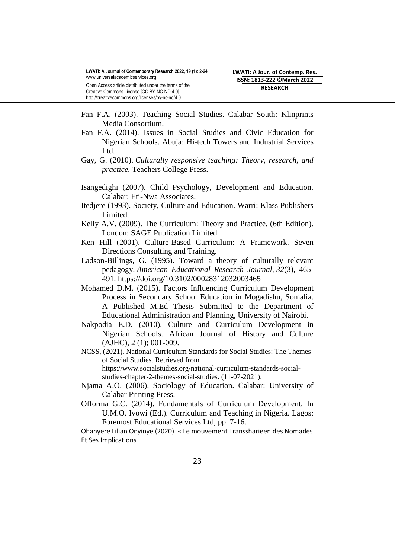- Fan F.A. (2003). Teaching Social Studies. Calabar South: Klinprints Media Consortium.
- Fan F.A. (2014). Issues in Social Studies and Civic Education for Nigerian Schools. Abuja: Hi-tech Towers and Industrial Services Ltd.
- Gay, G. (2010). *Culturally responsive teaching: Theory, research, and practice.* Teachers College Press.
- Isangedighi (2007). Child Psychology, Development and Education. Calabar: Eti-Nwa Associates.
- Itedjere (1993). Society, Culture and Education. Warri: Klass Publishers Limited.
- Kelly A.V. (2009). The Curriculum: Theory and Practice. (6th Edition). London: SAGE Publication Limited.
- Ken Hill (2001). Culture-Based Curriculum: A Framework. Seven Directions Consulting and Training.
- Ladson-Billings, G. (1995). Toward a theory of culturally relevant pedagogy. *American Educational Research Journal*, *32*(3), 465- 491. <https://doi.org/10.3102/00028312032003465>
- Mohamed D.M. (2015). Factors Influencing Curriculum Development Process in Secondary School Education in Mogadishu, Somalia. A Published M.Ed Thesis Submitted to the Department of Educational Administration and Planning, University of Nairobi.
- Nakpodia E.D. (2010). Culture and Curriculum Development in Nigerian Schools. African Journal of History and Culture (AJHC), 2 (1); 001-009.
- NCSS, (2021). National Curriculum Standards for Social Studies: The Themes of Social Studies. Retrieved from https://www.socialstudies.org/national-curriculum-standards-socialstudies-chapter-2-themes-social-studies. (11-07-2021).
- Njama A.O. (2006). Sociology of Education. Calabar: University of Calabar Printing Press.
- Offorma G.C. (2014). Fundamentals of Curriculum Development. In U.M.O. Ivowi (Ed.). Curriculum and Teaching in Nigeria. Lagos: Foremost Educational Services Ltd, pp. 7-16.

Ohanyere Lilian Onyinye (2020). « Le mouvement Transsharieen des Nomades Et Ses Implications